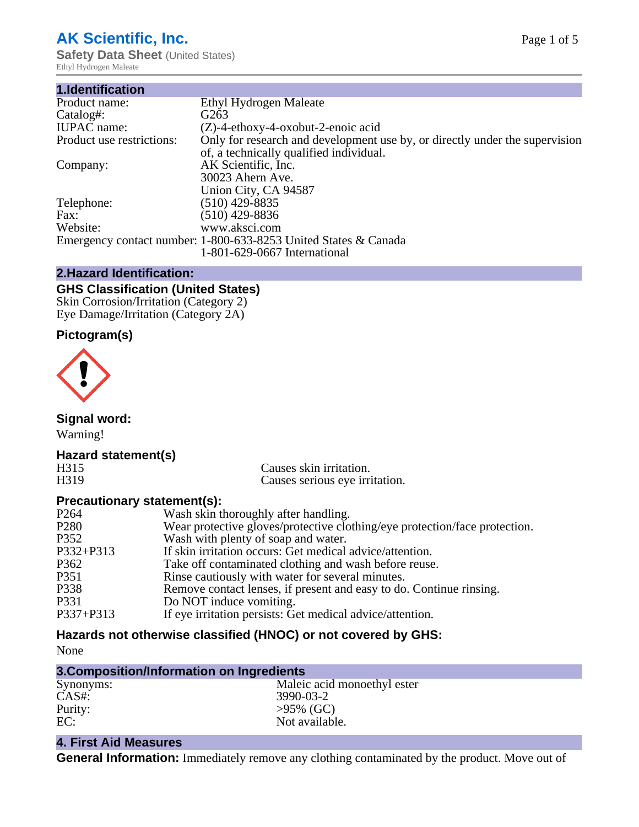# **AK Scientific, Inc.**

**Safety Data Sheet (United States)** Ethyl Hydrogen Maleate

| 1.Identification          |                                                                                                                        |
|---------------------------|------------------------------------------------------------------------------------------------------------------------|
| Product name:             | Ethyl Hydrogen Maleate                                                                                                 |
| Catalog#:                 | G <sub>263</sub>                                                                                                       |
| <b>IUPAC</b> name:        | $(Z)$ -4-ethoxy-4-oxobut-2-enoic acid                                                                                  |
| Product use restrictions: | Only for research and development use by, or directly under the supervision<br>of, a technically qualified individual. |
| Company:                  | AK Scientific, Inc.<br>30023 Ahern Ave.<br>Union City, CA 94587                                                        |
| Telephone:                | $(510)$ 429-8835                                                                                                       |
| Fax:                      | (510) 429-8836                                                                                                         |
| Website:                  | www.aksci.com                                                                                                          |
|                           | Emergency contact number: 1-800-633-8253 United States & Canada<br>1-801-629-0667 International                        |

#### **2.Hazard Identification:**

# **GHS Classification (United States)**

Skin Corrosion/Irritation (Category 2) Eye Damage/Irritation (Category 2A)

### **Pictogram(s)**



**Signal word:**

Warning!

### **Hazard statement(s)**

| L<br>۰.<br>┍<br>L. | U      |
|--------------------|--------|
| 3.<br>н<br>ı٠      | I<br>∽ |

Causes skin irritation. Causes serious eye irritation.

#### **Precautionary statement(s):**

| P <sub>264</sub> | Wash skin thoroughly after handling.                                       |
|------------------|----------------------------------------------------------------------------|
| P <sub>280</sub> | Wear protective gloves/protective clothing/eye protection/face protection. |
| P352             | Wash with plenty of soap and water.                                        |
| $P332 + P313$    | If skin irritation occurs: Get medical advice/attention.                   |
| P362             | Take off contaminated clothing and wash before reuse.                      |
| P351             | Rinse cautiously with water for several minutes.                           |
| P338             | Remove contact lenses, if present and easy to do. Continue rinsing.        |
| P331             | Do NOT induce vomiting.                                                    |
| $P337 + P313$    | If eye irritation persists: Get medical advice/attention.                  |
|                  |                                                                            |

# **Hazards not otherwise classified (HNOC) or not covered by GHS:**

None

| Synonyms: | Maleic acid monoethyl ester |
|-----------|-----------------------------|
| $CAS#$ :  | 3990-03-2                   |
| Purity:   | $>95\%$ (GC)                |
| EC:       | Not available.              |
|           |                             |

# **4. First Aid Measures**

**General Information:** Immediately remove any clothing contaminated by the product. Move out of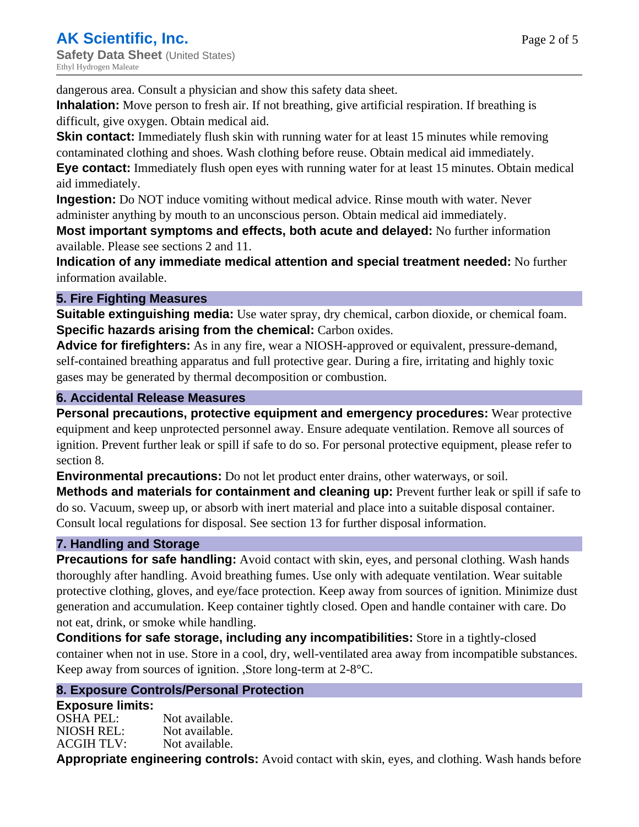dangerous area. Consult a physician and show this safety data sheet.

**Inhalation:** Move person to fresh air. If not breathing, give artificial respiration. If breathing is difficult, give oxygen. Obtain medical aid.

**Skin contact:** Immediately flush skin with running water for at least 15 minutes while removing contaminated clothing and shoes. Wash clothing before reuse. Obtain medical aid immediately. **Eye contact:** Immediately flush open eyes with running water for at least 15 minutes. Obtain medical aid immediately.

**Ingestion:** Do NOT induce vomiting without medical advice. Rinse mouth with water. Never administer anything by mouth to an unconscious person. Obtain medical aid immediately.

**Most important symptoms and effects, both acute and delayed:** No further information available. Please see sections 2 and 11.

**Indication of any immediate medical attention and special treatment needed:** No further information available.

#### **5. Fire Fighting Measures**

**Suitable extinguishing media:** Use water spray, dry chemical, carbon dioxide, or chemical foam. **Specific hazards arising from the chemical:** Carbon oxides.

**Advice for firefighters:** As in any fire, wear a NIOSH-approved or equivalent, pressure-demand, self-contained breathing apparatus and full protective gear. During a fire, irritating and highly toxic gases may be generated by thermal decomposition or combustion.

#### **6. Accidental Release Measures**

**Personal precautions, protective equipment and emergency procedures:** Wear protective equipment and keep unprotected personnel away. Ensure adequate ventilation. Remove all sources of ignition. Prevent further leak or spill if safe to do so. For personal protective equipment, please refer to section 8.

**Environmental precautions:** Do not let product enter drains, other waterways, or soil.

**Methods and materials for containment and cleaning up:** Prevent further leak or spill if safe to do so. Vacuum, sweep up, or absorb with inert material and place into a suitable disposal container. Consult local regulations for disposal. See section 13 for further disposal information.

## **7. Handling and Storage**

**Precautions for safe handling:** Avoid contact with skin, eyes, and personal clothing. Wash hands thoroughly after handling. Avoid breathing fumes. Use only with adequate ventilation. Wear suitable protective clothing, gloves, and eye/face protection. Keep away from sources of ignition. Minimize dust generation and accumulation. Keep container tightly closed. Open and handle container with care. Do not eat, drink, or smoke while handling.

**Conditions for safe storage, including any incompatibilities:** Store in a tightly-closed container when not in use. Store in a cool, dry, well-ventilated area away from incompatible substances. Keep away from sources of ignition. ,Store long-term at 2-8°C.

#### **8. Exposure Controls/Personal Protection**

#### **Exposure limits:**

OSHA PEL: Not available. NIOSH REL: Not available. ACGIH TLV: Not available.

**Appropriate engineering controls:** Avoid contact with skin, eyes, and clothing. Wash hands before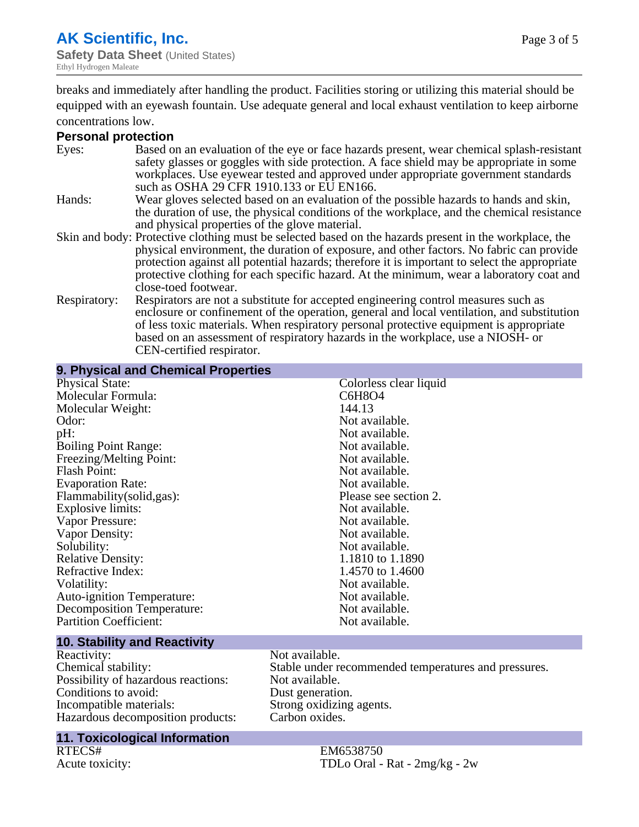**9. Physical and Chemical Properties**

breaks and immediately after handling the product. Facilities storing or utilizing this material should be equipped with an eyewash fountain. Use adequate general and local exhaust ventilation to keep airborne concentrations low.

#### **Personal protection**

| Eyes:        | Based on an evaluation of the eye or face hazards present, wear chemical splash-resistant<br>safety glasses or goggles with side protection. A face shield may be appropriate in some<br>workplaces. Use eyewear tested and approved under appropriate government standards<br>such as OSHA 29 CFR 1910.133 or EU EN166.                                                                                                |
|--------------|-------------------------------------------------------------------------------------------------------------------------------------------------------------------------------------------------------------------------------------------------------------------------------------------------------------------------------------------------------------------------------------------------------------------------|
| Hands:       | Wear gloves selected based on an evaluation of the possible hazards to hands and skin,<br>the duration of use, the physical conditions of the workplace, and the chemical resistance<br>and physical properties of the glove material.                                                                                                                                                                                  |
|              | Skin and body: Protective clothing must be selected based on the hazards present in the workplace, the<br>physical environment, the duration of exposure, and other factors. No fabric can provide<br>protection against all potential hazards; therefore it is important to select the appropriate<br>protective clothing for each specific hazard. At the minimum, wear a laboratory coat and<br>close-toed footwear. |
| Respiratory: | Respirators are not a substitute for accepted engineering control measures such as<br>enclosure or confinement of the operation, general and local ventilation, and substitution<br>of less toxic materials. When respiratory personal protective equipment is appropriate<br>based on an assessment of respiratory hazards in the workplace, use a NIOSH- or<br>CEN-certified respirator.                              |

| 9. Physical and Gheinical Properties        |                        |  |
|---------------------------------------------|------------------------|--|
| <b>Physical State:</b>                      | Colorless clear liquid |  |
| Molecular Formula:                          | C6H8O4                 |  |
| Molecular Weight:                           | 144.13                 |  |
| Odor:                                       | Not available.         |  |
| pH:                                         | Not available.         |  |
| <b>Boiling Point Range:</b>                 | Not available.         |  |
| Freezing/Melting Point:                     | Not available.         |  |
| <b>Flash Point:</b>                         | Not available.         |  |
| <b>Evaporation Rate:</b>                    | Not available.         |  |
| Flammability(solid,gas):                    | Please see section 2.  |  |
| <b>Explosive limits:</b>                    | Not available.         |  |
| Vapor Pressure:                             | Not available.         |  |
| Vapor Density:                              | Not available.         |  |
| Solubility:                                 | Not available.         |  |
| <b>Relative Density:</b>                    | 1.1810 to 1.1890       |  |
| Refractive Index:                           | 1.4570 to 1.4600       |  |
| Volatility:                                 | Not available.         |  |
| <b>Auto-ignition Temperature:</b>           | Not available.         |  |
| <b>Decomposition Temperature:</b>           | Not available.         |  |
| <b>Partition Coefficient:</b>               | Not available.         |  |
| 40. Otališkim anglici<br><b>All College</b> |                        |  |

# **10. Stability and Reactivity**

Reactivity: Not available.<br>
Chemical stability: Stable under re Possibility of hazardous reactions: Not available.<br>Conditions to avoid: Dust generation. Conditions to avoid:<br>Incompatible materials: Hazardous decomposition products:

# **11. Toxicological Information**

RTECS# EM6538750<br>Acute toxicity: TDLo Oral -

Stable under recommended temperatures and pressures.<br>Not available. Strong oxidizing agents.<br>Carbon oxides.

TDLo Oral - Rat -  $2mg/kg - 2w$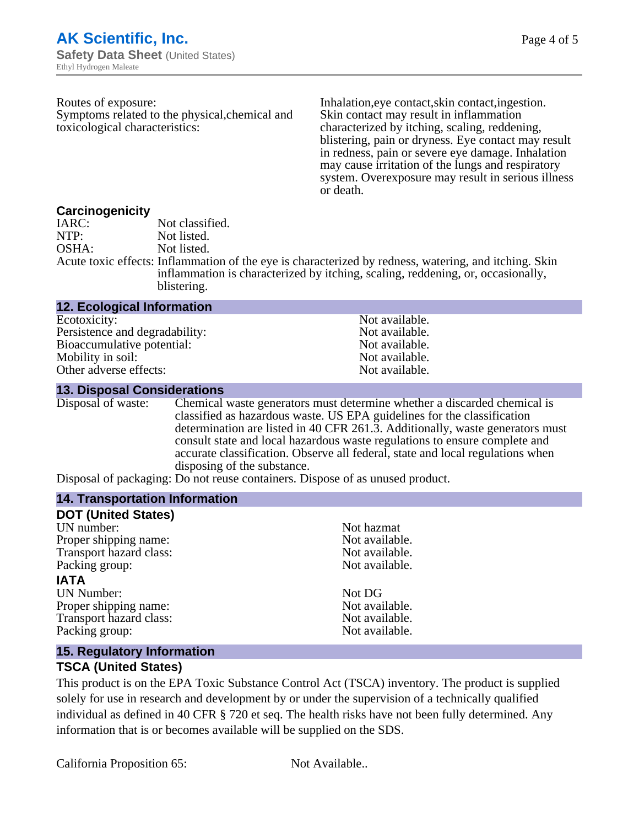| Routes of exposure:<br>Symptoms related to the physical, chemical and<br>toxicological characteristics: | Inhalation, eye contact, skin contact, ingestion.<br>Skin contact may result in inflammation<br>characterized by itching, scaling, reddening,<br>blistering, pain or dryness. Eye contact may result<br>in redness, pain or severe eye damage. Inhalation<br>may cause irritation of the lungs and respiratory<br>system. Over exposure may result in serious illness<br>or death. |
|---------------------------------------------------------------------------------------------------------|------------------------------------------------------------------------------------------------------------------------------------------------------------------------------------------------------------------------------------------------------------------------------------------------------------------------------------------------------------------------------------|
| Carcinogenicity<br>Not classified.<br>IARC:                                                             |                                                                                                                                                                                                                                                                                                                                                                                    |

NTP:<br>
OSHA: Not listed.<br>
Not listed. Not listed. Acute toxic effects: Inflammation of the eye is characterized by redness, watering, and itching. Skin inflammation is characterized by itching, scaling, reddening, or, occasionally, blistering.

| <b>12. Ecological Information</b> |                |
|-----------------------------------|----------------|
| Ecotoxicity:                      | Not available. |
| Persistence and degradability:    | Not available. |
| Bioaccumulative potential:        | Not available. |
| Mobility in soil:                 | Not available. |
| Other adverse effects:            | Not available. |

#### **13. Disposal Considerations**

Disposal of waste: Chemical waste generators must determine whether a discarded chemical is classified as hazardous waste. US EPA guidelines for the classification determination are listed in 40 CFR 261.3. Additionally, waste generators must consult state and local hazardous waste regulations to ensure complete and accurate classification. Observe all federal, state and local regulations when disposing of the substance.

Disposal of packaging: Do not reuse containers. Dispose of as unused product.

| Not hazmat     |
|----------------|
| Not available. |
| Not available. |
| Not available. |
|                |
| Not DG         |
| Not available. |
| Not available. |
| Not available. |
|                |

#### **15. Regulatory Information**

#### **TSCA (United States)**

This product is on the EPA Toxic Substance Control Act (TSCA) inventory. The product is supplied solely for use in research and development by or under the supervision of a technically qualified individual as defined in 40 CFR § 720 et seq. The health risks have not been fully determined. Any information that is or becomes available will be supplied on the SDS.

California Proposition 65: Not Available..